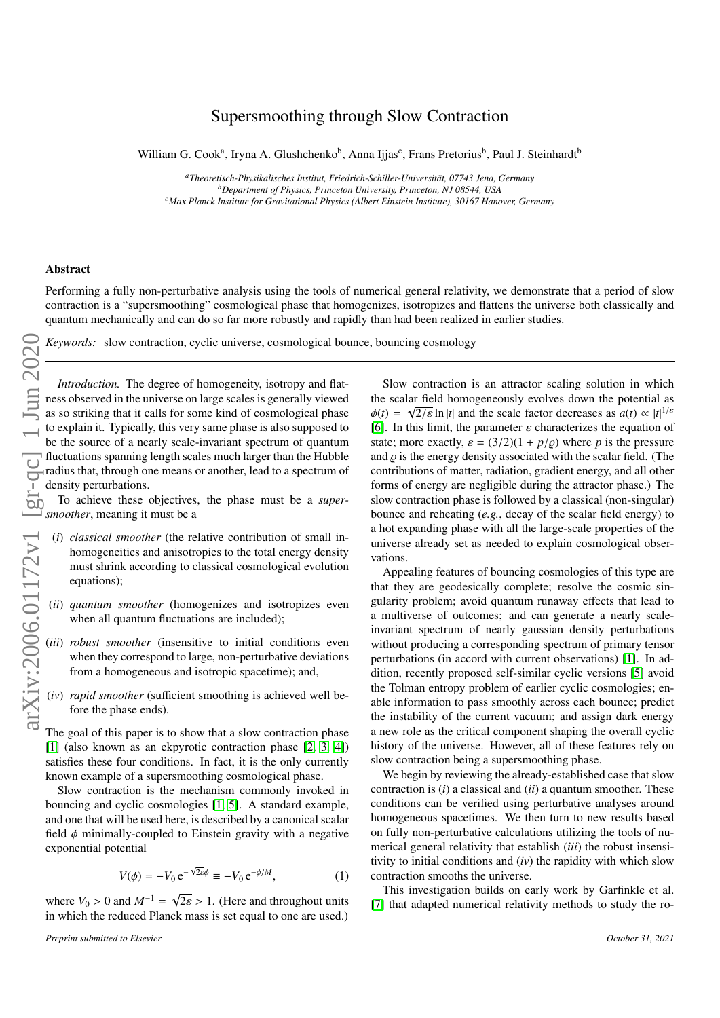## Supersmoothing through Slow Contraction

William G. Cook<sup>a</sup>, Iryna A. Glushchenko<sup>b</sup>, Anna Ijjas<sup>c</sup>, Frans Pretorius<sup>b</sup>, Paul J. Steinhardt<sup>b</sup>

*<sup>a</sup>Theoretisch-Physikalisches Institut, Friedrich-Schiller-Universit ¨at, 07743 Jena, Germany <sup>b</sup>Department of Physics, Princeton University, Princeton, NJ 08544, USA <sup>c</sup>Max Planck Institute for Gravitational Physics (Albert Einstein Institute), 30167 Hanover, Germany*

## Abstract

Performing a fully non-perturbative analysis using the tools of numerical general relativity, we demonstrate that a period of slow contraction is a "supersmoothing" cosmological phase that homogenizes, isotropizes and flattens the universe both classically and quantum mechanically and can do so far more robustly and rapidly than had been realized in earlier studies.

*Keywords:* slow contraction, cyclic universe, cosmological bounce, bouncing cosmology

*Introduction.* The degree of homogeneity, isotropy and flatness observed in the universe on large scales is generally viewed as so striking that it calls for some kind of cosmological phase to explain it. Typically, this very same phase is also supposed to be the source of a nearly scale-invariant spectrum of quantum fluctuations spanning length scales much larger than the Hubble radius that, through one means or another, lead to a spectrum of density perturbations.

To achieve these objectives, the phase must be a *supersmoother*, meaning it must be a

- (*i*) *classical smoother* (the relative contribution of small inhomogeneities and anisotropies to the total energy density must shrink according to classical cosmological evolution equations);
- (*ii*) *quantum smoother* (homogenizes and isotropizes even when all quantum fluctuations are included);
- (*iii*) *robust smoother* (insensitive to initial conditions even when they correspond to large, non-perturbative deviations from a homogeneous and isotropic spacetime); and,
- (*iv*) *rapid smoother* (sufficient smoothing is achieved well before the phase ends).

The goal of this paper is to show that a slow contraction phase [\[1\]](#page-5-0) (also known as an ekpyrotic contraction phase [\[2,](#page-5-1) [3,](#page-5-2) [4\]](#page-5-3)) satisfies these four conditions. In fact, it is the only currently known example of a supersmoothing cosmological phase.

Slow contraction is the mechanism commonly invoked in bouncing and cyclic cosmologies [\[1,](#page-5-0) [5\]](#page-5-4). A standard example, and one that will be used here, is described by a canonical scalar field  $\phi$  minimally-coupled to Einstein gravity with a negative exponential potential

$$
V(\phi) = -V_0 e^{-\sqrt{2\varepsilon}\phi} \equiv -V_0 e^{-\phi/M}, \qquad (1)
$$

where  $V_0 > 0$  and  $M^{-1} = \sqrt{v}$ <br>in which the reduced Planck  $2\varepsilon > 1$ . (Here and throughout units<br>z mass is set equal to one are used.) in which the reduced Planck mass is set equal to one are used.)

Slow contraction is an attractor scaling solution in which the scalar field homogeneously evolves down the potential as  $\phi(t) = \sqrt{2/\varepsilon} \ln |t|$  and the scale factor decreases as  $a(t) \propto |t|^{1/\varepsilon}$ <br>
161. In this limit, the parameter s characterizes the equation of [\[6\]](#page-5-5). In this limit, the parameter  $\varepsilon$  characterizes the equation of state; more exactly,  $\varepsilon = (3/2)(1 + p/\rho)$  where *p* is the pressure and  $\rho$  is the energy density associated with the scalar field. (The contributions of matter, radiation, gradient energy, and all other forms of energy are negligible during the attractor phase.) The slow contraction phase is followed by a classical (non-singular) bounce and reheating (*e.g.*, decay of the scalar field energy) to a hot expanding phase with all the large-scale properties of the universe already set as needed to explain cosmological observations.

Appealing features of bouncing cosmologies of this type are that they are geodesically complete; resolve the cosmic singularity problem; avoid quantum runaway effects that lead to a multiverse of outcomes; and can generate a nearly scaleinvariant spectrum of nearly gaussian density perturbations without producing a corresponding spectrum of primary tensor perturbations (in accord with current observations) [\[1\]](#page-5-0). In addition, recently proposed self-similar cyclic versions [\[5\]](#page-5-4) avoid the Tolman entropy problem of earlier cyclic cosmologies; enable information to pass smoothly across each bounce; predict the instability of the current vacuum; and assign dark energy a new role as the critical component shaping the overall cyclic history of the universe. However, all of these features rely on slow contraction being a supersmoothing phase.

We begin by reviewing the already-established case that slow contraction is (*i*) a classical and (*ii*) a quantum smoother. These conditions can be verified using perturbative analyses around homogeneous spacetimes. We then turn to new results based on fully non-perturbative calculations utilizing the tools of numerical general relativity that establish (*iii*) the robust insensitivity to initial conditions and (*iv*) the rapidity with which slow contraction smooths the universe.

This investigation builds on early work by Garfinkle et al. [\[7\]](#page-5-6) that adapted numerical relativity methods to study the ro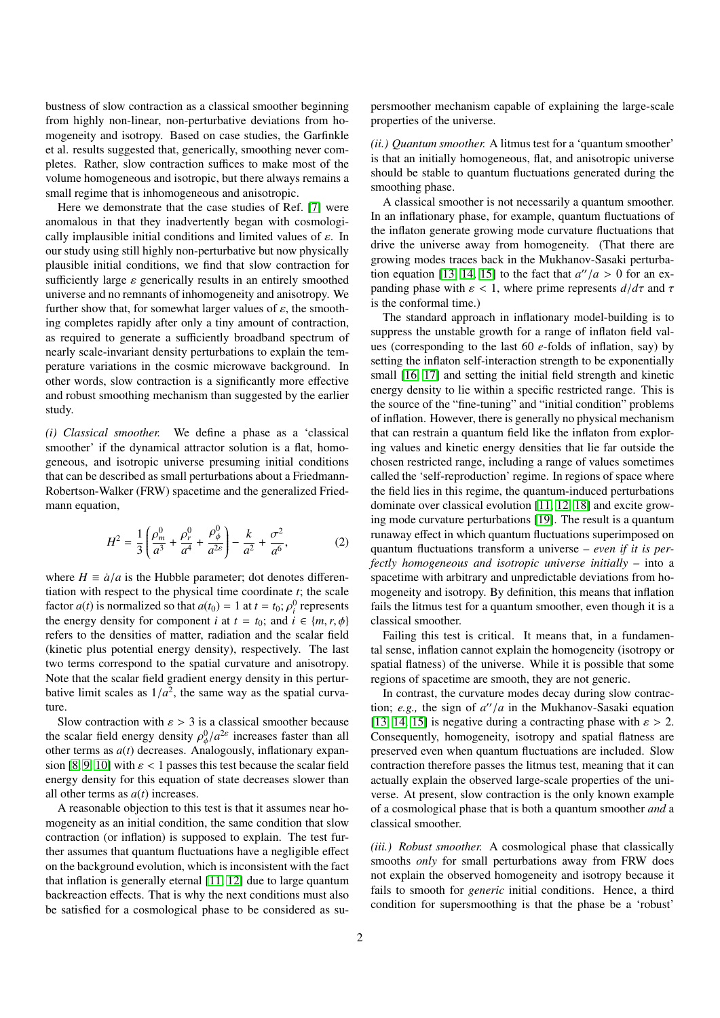bustness of slow contraction as a classical smoother beginning from highly non-linear, non-perturbative deviations from homogeneity and isotropy. Based on case studies, the Garfinkle et al. results suggested that, generically, smoothing never completes. Rather, slow contraction suffices to make most of the volume homogeneous and isotropic, but there always remains a small regime that is inhomogeneous and anisotropic.

Here we demonstrate that the case studies of Ref. [\[7\]](#page-5-6) were anomalous in that they inadvertently began with cosmologically implausible initial conditions and limited values of  $\varepsilon$ . In our study using still highly non-perturbative but now physically plausible initial conditions, we find that slow contraction for sufficiently large  $\varepsilon$  generically results in an entirely smoothed universe and no remnants of inhomogeneity and anisotropy. We further show that, for somewhat larger values of  $\varepsilon$ , the smoothing completes rapidly after only a tiny amount of contraction, as required to generate a sufficiently broadband spectrum of nearly scale-invariant density perturbations to explain the temperature variations in the cosmic microwave background. In other words, slow contraction is a significantly more effective and robust smoothing mechanism than suggested by the earlier study.

*(i) Classical smoother.* We define a phase as a 'classical smoother' if the dynamical attractor solution is a flat, homogeneous, and isotropic universe presuming initial conditions that can be described as small perturbations about a Friedmann-Robertson-Walker (FRW) spacetime and the generalized Friedmann equation,

$$
H^{2} = \frac{1}{3} \left( \frac{\rho_{m}^{0}}{a^{3}} + \frac{\rho_{r}^{0}}{a^{4}} + \frac{\rho_{\phi}^{0}}{a^{2\epsilon}} \right) - \frac{k}{a^{2}} + \frac{\sigma^{2}}{a^{6}},
$$
 (2)

where  $H \equiv \dot{a}/a$  is the Hubble parameter; dot denotes differentiation with respect to the physical time coordinate *t*; the scale factor *a*(*t*) is normalized so that  $a(t_0) = 1$  at  $t = t_0$ ;  $\rho_i^0$  represents the energy density for component *i* at  $t = t_0$ ; and  $i \in \{m, r, \phi\}$ the energy density for component *i* at  $t = t_0$ ; and  $i \in \{m, r, \phi\}$ refers to the densities of matter, radiation and the scalar field (kinetic plus potential energy density), respectively. The last two terms correspond to the spatial curvature and anisotropy. Note that the scalar field gradient energy density in this perturbative limit scales as  $1/a^2$ , the same way as the spatial curvature ture.

Slow contraction with  $\varepsilon > 3$  is a classical smoother because the scalar field energy density  $\rho_{\phi}^0/a^{2\epsilon}$  increases faster than all<br>other terms as  $g(t)$  decreases. Analogously inflationary expanother terms as  $a(t)$  decreases. Analogously, inflationary expan-sion [\[8,](#page-5-7) [9,](#page-5-8) [10\]](#page-5-9) with  $\varepsilon$  < 1 passes this test because the scalar field energy density for this equation of state decreases slower than all other terms as *a*(*t*) increases.

A reasonable objection to this test is that it assumes near homogeneity as an initial condition, the same condition that slow contraction (or inflation) is supposed to explain. The test further assumes that quantum fluctuations have a negligible effect on the background evolution, which is inconsistent with the fact that inflation is generally eternal [\[11,](#page-5-10) [12\]](#page-5-11) due to large quantum backreaction effects. That is why the next conditions must also be satisfied for a cosmological phase to be considered as supersmoother mechanism capable of explaining the large-scale properties of the universe.

*(ii.) Quantum smoother.* A litmus test for a 'quantum smoother' is that an initially homogeneous, flat, and anisotropic universe should be stable to quantum fluctuations generated during the smoothing phase.

A classical smoother is not necessarily a quantum smoother. In an inflationary phase, for example, quantum fluctuations of the inflaton generate growing mode curvature fluctuations that drive the universe away from homogeneity. (That there are growing modes traces back in the Mukhanov-Sasaki perturba-tion equation [\[13,](#page-5-12) [14,](#page-5-13) [15\]](#page-5-14) to the fact that  $a''/a > 0$  for an ex-<br>panding phase with  $s < 1$  where prime represents  $d/d\tau$  and  $\tau$ panding phase with  $\varepsilon$  < 1, where prime represents  $d/d\tau$  and  $\tau$ is the conformal time.)

The standard approach in inflationary model-building is to suppress the unstable growth for a range of inflaton field values (corresponding to the last 60 *e*-folds of inflation, say) by setting the inflaton self-interaction strength to be exponentially small [\[16,](#page-5-15) [17\]](#page-5-16) and setting the initial field strength and kinetic energy density to lie within a specific restricted range. This is the source of the "fine-tuning" and "initial condition" problems of inflation. However, there is generally no physical mechanism that can restrain a quantum field like the inflaton from exploring values and kinetic energy densities that lie far outside the chosen restricted range, including a range of values sometimes called the 'self-reproduction' regime. In regions of space where the field lies in this regime, the quantum-induced perturbations dominate over classical evolution [\[11,](#page-5-10) [12,](#page-5-11) [18\]](#page-5-17) and excite growing mode curvature perturbations [\[19\]](#page-5-18). The result is a quantum runaway effect in which quantum fluctuations superimposed on quantum fluctuations transform a universe – *even if it is perfectly homogeneous and isotropic universe initially* – into a spacetime with arbitrary and unpredictable deviations from homogeneity and isotropy. By definition, this means that inflation fails the litmus test for a quantum smoother, even though it is a classical smoother.

Failing this test is critical. It means that, in a fundamental sense, inflation cannot explain the homogeneity (isotropy or spatial flatness) of the universe. While it is possible that some regions of spacetime are smooth, they are not generic.

In contrast, the curvature modes decay during slow contraction; *e.g.*, the sign of  $a''/a$  in the Mukhanov-Sasaki equation<br>[13, 14, 15] is negative during a contracting phase with  $s > 2$ [\[13,](#page-5-12) [14,](#page-5-13) [15\]](#page-5-14) is negative during a contracting phase with  $\varepsilon > 2$ . Consequently, homogeneity, isotropy and spatial flatness are preserved even when quantum fluctuations are included. Slow contraction therefore passes the litmus test, meaning that it can actually explain the observed large-scale properties of the universe. At present, slow contraction is the only known example of a cosmological phase that is both a quantum smoother *and* a classical smoother.

*(iii.) Robust smoother.* A cosmological phase that classically smooths *only* for small perturbations away from FRW does not explain the observed homogeneity and isotropy because it fails to smooth for *generic* initial conditions. Hence, a third condition for supersmoothing is that the phase be a 'robust'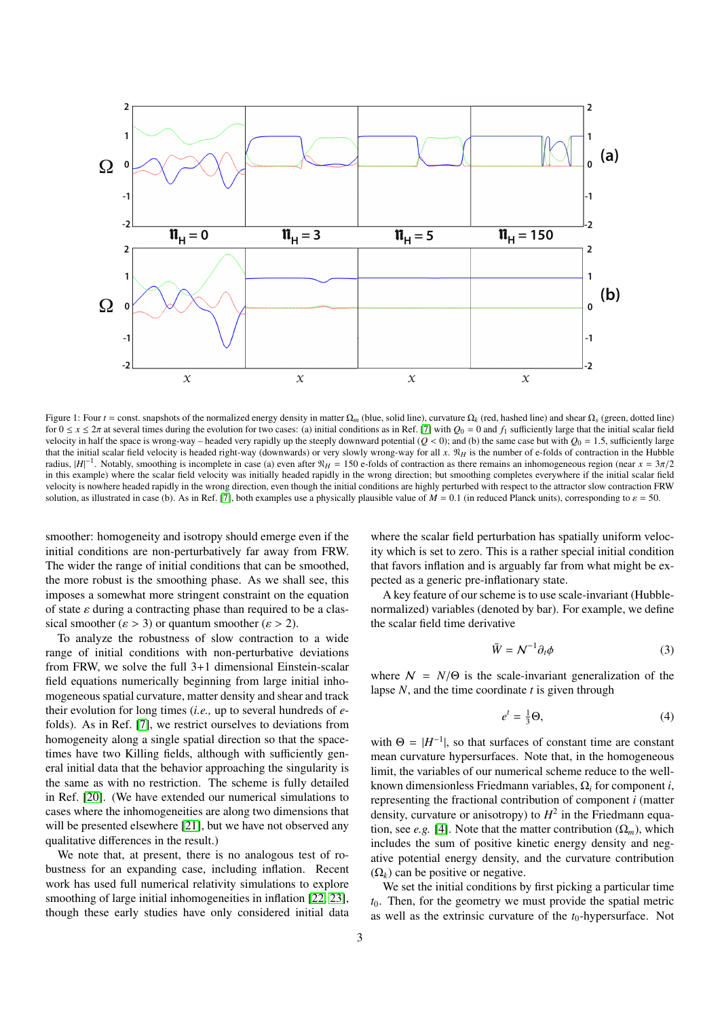

Figure 1: Four *t* = const. snapshots of the normalized energy density in matter  $\Omega_m$  (blue, solid line), curvature  $\Omega_k$  (red, hashed line) and shear  $\Omega_s$  (green, dotted line) for  $0 \le x \le 2\pi$  at several times during the evolution for two cases: (a) initial conditions as in Ref. [\[7\]](#page-5-6) with  $Q_0 = 0$  and  $f_1$  sufficiently large that the initial scalar field velocity in half the space is wrong-way – headed very rapidly up the steeply downward potential  $(Q < 0)$ ; and (b) the same case but with  $Q_0 = 1.5$ , sufficiently large that the initial scalar field velocity is headed right-way (downwards) or very slowly wrong-way for all *x*. N*<sup>H</sup>* is the number of e-folds of contraction in the Hubble radius,  $|H|^{-1}$ . Notably, smoothing is incomplete in case (a) even after  $\mathcal{N}_H = 150$  e-folds of contraction as there remains an inhomogeneous region (near  $x = 3\pi/2$ ) in this example) where the scalar field velocity w in this example) where the scalar field velocity was initially headed rapidly in the wrong direction; but smoothing completes everywhere if the initial scalar field velocity is nowhere headed rapidly in the wrong direction, even though the initial conditions are highly perturbed with respect to the attractor slow contraction FRW solution, as illustrated in case (b). As in Ref. [\[7\]](#page-5-6), both examples use a physically plausible value of  $M = 0.1$  (in reduced Planck units), corresponding to  $\varepsilon = 50$ .

smoother: homogeneity and isotropy should emerge even if the initial conditions are non-perturbatively far away from FRW. The wider the range of initial conditions that can be smoothed, the more robust is the smoothing phase. As we shall see, this imposes a somewhat more stringent constraint on the equation of state  $\varepsilon$  during a contracting phase than required to be a classical smoother ( $\varepsilon > 3$ ) or quantum smoother ( $\varepsilon > 2$ ).

To analyze the robustness of slow contraction to a wide range of initial conditions with non-perturbative deviations from FRW, we solve the full 3+1 dimensional Einstein-scalar field equations numerically beginning from large initial inhomogeneous spatial curvature, matter density and shear and track their evolution for long times (*i.e.,* up to several hundreds of *e*folds). As in Ref. [\[7\]](#page-5-6), we restrict ourselves to deviations from homogeneity along a single spatial direction so that the spacetimes have two Killing fields, although with sufficiently general initial data that the behavior approaching the singularity is the same as with no restriction. The scheme is fully detailed in Ref. [\[20\]](#page-5-19). (We have extended our numerical simulations to cases where the inhomogeneities are along two dimensions that will be presented elsewhere [\[21\]](#page-5-20), but we have not observed any qualitative differences in the result.)

We note that, at present, there is no analogous test of robustness for an expanding case, including inflation. Recent work has used full numerical relativity simulations to explore smoothing of large initial inhomogeneities in inflation [\[22,](#page-5-21) [23\]](#page-5-22), though these early studies have only considered initial data

where the scalar field perturbation has spatially uniform velocity which is set to zero. This is a rather special initial condition that favors inflation and is arguably far from what might be expected as a generic pre-inflationary state.

A key feature of our scheme is to use scale-invariant (Hubblenormalized) variables (denoted by bar). For example, we define the scalar field time derivative

$$
\bar{W} = \mathcal{N}^{-1} \partial_t \phi \tag{3}
$$

where  $N = N/\Theta$  is the scale-invariant generalization of the lapse *N*, and the time coordinate *t* is given through

$$
e^t = \frac{1}{3}\Theta,\tag{4}
$$

with  $\Theta = |H^{-1}|$ , so that surfaces of constant time are constant mean curvature hypersurfaces. Note that, in the homogeneous limit, the variables of our numerical scheme reduce to the wellknown dimensionless Friedmann variables, Ω*<sup>i</sup>* for component *i*, representing the fractional contribution of component *i* (matter density, curvature or anisotropy) to  $H^2$  in the Friedmann equation, see *e.g.* [\[4\]](#page-5-3). Note that the matter contribution  $(\Omega_m)$ , which includes the sum of positive kinetic energy density and negative potential energy density, and the curvature contribution  $(\Omega_k)$  can be positive or negative.

We set the initial conditions by first picking a particular time *t*0. Then, for the geometry we must provide the spatial metric as well as the extrinsic curvature of the *t*<sub>0</sub>-hypersurface. Not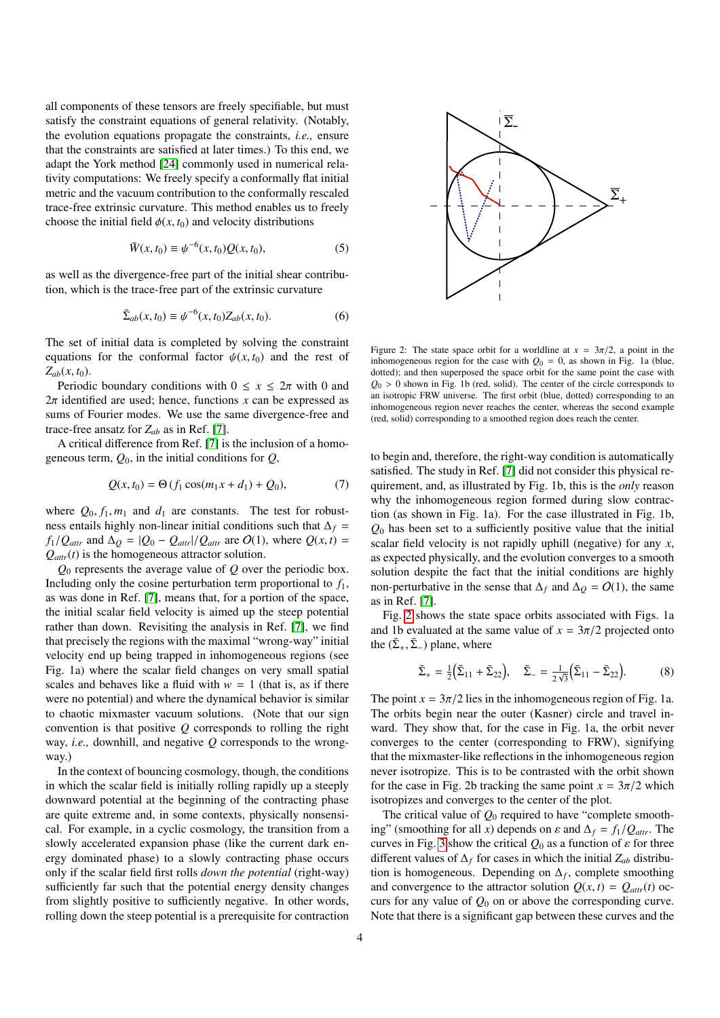all components of these tensors are freely specifiable, but must satisfy the constraint equations of general relativity. (Notably, the evolution equations propagate the constraints, *i.e.,* ensure that the constraints are satisfied at later times.) To this end, we adapt the York method [\[24\]](#page-5-23) commonly used in numerical relativity computations: We freely specify a conformally flat initial metric and the vacuum contribution to the conformally rescaled trace-free extrinsic curvature. This method enables us to freely choose the initial field  $\phi(x, t_0)$  and velocity distributions

$$
\bar{W}(x, t_0) \equiv \psi^{-6}(x, t_0) Q(x, t_0), \tag{5}
$$

as well as the divergence-free part of the initial shear contribution, which is the trace-free part of the extrinsic curvature

$$
\bar{\Sigma}_{ab}(x,t_0) \equiv \psi^{-6}(x,t_0) Z_{ab}(x,t_0).
$$
 (6)

The set of initial data is completed by solving the constraint equations for the conformal factor  $\psi(x, t_0)$  and the rest of  $Z_{ab}(x, t_0)$ .

Periodic boundary conditions with  $0 \le x \le 2\pi$  with 0 and  $2\pi$  identified are used; hence, functions x can be expressed as sums of Fourier modes. We use the same divergence-free and trace-free ansatz for *Zab* as in Ref. [\[7\]](#page-5-6).

A critical difference from Ref. [\[7\]](#page-5-6) is the inclusion of a homogeneous term,  $Q_0$ , in the initial conditions for  $Q$ ,

$$
Q(x, t_0) = \Theta(f_1 \cos(m_1 x + d_1) + Q_0), \tag{7}
$$

where  $Q_0, f_1, m_1$  and  $d_1$  are constants. The test for robustness entails highly non-linear initial conditions such that  $\Delta_f$  =  $f_1/Q_{\text{attr}}$  and  $\Delta_Q = |Q_0 - Q_{\text{attr}}|/Q_{\text{attr}}$  are  $O(1)$ , where  $Q(x, t) =$ *Qattr*(*t*) is the homogeneous attractor solution.

*Q*<sup>0</sup> represents the average value of *Q* over the periodic box. Including only the cosine perturbation term proportional to  $f_1$ , as was done in Ref. [\[7\]](#page-5-6), means that, for a portion of the space, the initial scalar field velocity is aimed up the steep potential rather than down. Revisiting the analysis in Ref. [\[7\]](#page-5-6), we find that precisely the regions with the maximal "wrong-way" initial velocity end up being trapped in inhomogeneous regions (see Fig. 1a) where the scalar field changes on very small spatial scales and behaves like a fluid with  $w = 1$  (that is, as if there were no potential) and where the dynamical behavior is similar to chaotic mixmaster vacuum solutions. (Note that our sign convention is that positive *Q* corresponds to rolling the right way, *i.e.,* downhill, and negative *Q* corresponds to the wrongway.)

In the context of bouncing cosmology, though, the conditions in which the scalar field is initially rolling rapidly up a steeply downward potential at the beginning of the contracting phase are quite extreme and, in some contexts, physically nonsensical. For example, in a cyclic cosmology, the transition from a slowly accelerated expansion phase (like the current dark energy dominated phase) to a slowly contracting phase occurs only if the scalar field first rolls *down the potential* (right-way) sufficiently far such that the potential energy density changes from slightly positive to sufficiently negative. In other words, rolling down the steep potential is a prerequisite for contraction

<span id="page-3-0"></span>

Figure 2: The state space orbit for a worldline at  $x = 3\pi/2$ , a point in the inhomogeneous region for the case with  $Q_0 = 0$ , as shown in Fig. 1a (blue, dotted); and then superposed the space orbit for the same point the case with  $Q_0 > 0$  shown in Fig. 1b (red, solid). The center of the circle corresponds to an isotropic FRW universe. The first orbit (blue, dotted) corresponding to an inhomogeneous region never reaches the center, whereas the second example (red, solid) corresponding to a smoothed region does reach the center.

to begin and, therefore, the right-way condition is automatically satisfied. The study in Ref. [\[7\]](#page-5-6) did not consider this physical requirement, and, as illustrated by Fig. 1b, this is the *only* reason why the inhomogeneous region formed during slow contraction (as shown in Fig. 1a). For the case illustrated in Fig. 1b,  $Q<sub>0</sub>$  has been set to a sufficiently positive value that the initial scalar field velocity is not rapidly uphill (negative) for any *x*, as expected physically, and the evolution converges to a smooth solution despite the fact that the initial conditions are highly non-perturbative in the sense that  $\Delta_f$  and  $\Delta_Q = O(1)$ , the same as in Ref. [\[7\]](#page-5-6).

Fig. [2](#page-3-0) shows the state space orbits associated with Figs. 1a and 1b evaluated at the same value of  $x = 3\pi/2$  projected onto the  $(\bar{\Sigma}_+, \bar{\Sigma}_-)$  plane, where

$$
\bar{\Sigma}_{+} = \frac{1}{2} \left( \bar{\Sigma}_{11} + \bar{\Sigma}_{22} \right), \quad \bar{\Sigma}_{-} = \frac{1}{2\sqrt{3}} \left( \bar{\Sigma}_{11} - \bar{\Sigma}_{22} \right). \tag{8}
$$

The point  $x = 3\pi/2$  lies in the inhomogeneous region of Fig. 1a. The orbits begin near the outer (Kasner) circle and travel inward. They show that, for the case in Fig. 1a, the orbit never converges to the center (corresponding to FRW), signifying that the mixmaster-like reflections in the inhomogeneous region never isotropize. This is to be contrasted with the orbit shown for the case in Fig. 2b tracking the same point  $x = 3\pi/2$  which isotropizes and converges to the center of the plot.

The critical value of  $Q_0$  required to have "complete smoothing" (smoothing for all *x*) depends on  $\varepsilon$  and  $\Delta_f = f_1/Q_{attr}$ . The curves in Fig. [3](#page-4-0) show the critical  $Q_0$  as a function of  $\varepsilon$  for three different values of ∆*<sup>f</sup>* for cases in which the initial *Zab* distribution is homogeneous. Depending on  $\Delta_f$ , complete smoothing and convergence to the attractor solution  $Q(x, t) = Q_{attr}(t)$  occurs for any value of  $Q_0$  on or above the corresponding curve. Note that there is a significant gap between these curves and the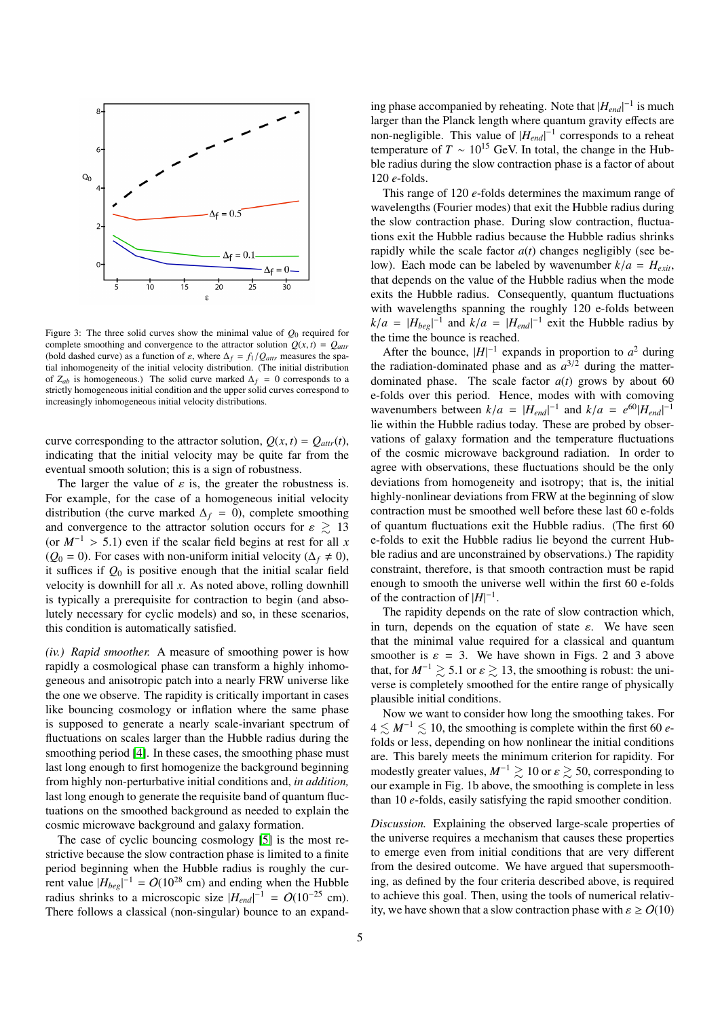<span id="page-4-0"></span>

Figure 3: The three solid curves show the minimal value of  $O_0$  required for complete smoothing and convergence to the attractor solution  $Q(x, t) = Q_{attr}$ (bold dashed curve) as a function of  $\varepsilon$ , where  $\Delta_f = f_1/Q_{attr}$  measures the spatial inhomogeneity of the initial velocity distribution. (The initial distribution of  $Z_{ab}$  is homogeneous.) The solid curve marked  $\Delta_f = 0$  corresponds to a strictly homogeneous initial condition and the upper solid curves correspond to increasingly inhomogeneous initial velocity distributions.

curve corresponding to the attractor solution,  $Q(x, t) = Q_{attr}(t)$ , indicating that the initial velocity may be quite far from the eventual smooth solution; this is a sign of robustness.

The larger the value of  $\varepsilon$  is, the greater the robustness is. For example, for the case of a homogeneous initial velocity distribution (the curve marked  $\Delta_f = 0$ ), complete smoothing and convergence to the attractor solution occurs for  $\varepsilon \geq 13$ (or  $M^{-1} > 5.1$ ) even if the scalar field begins at rest for all *x*  $(Q<sub>0</sub> = 0)$ . For cases with non-uniform initial velocity ( $\Delta_f \neq 0$ ), it suffices if  $Q_0$  is positive enough that the initial scalar field velocity is downhill for all *x*. As noted above, rolling downhill is typically a prerequisite for contraction to begin (and absolutely necessary for cyclic models) and so, in these scenarios, this condition is automatically satisfied.

*(iv.) Rapid smoother.* A measure of smoothing power is how rapidly a cosmological phase can transform a highly inhomogeneous and anisotropic patch into a nearly FRW universe like the one we observe. The rapidity is critically important in cases like bouncing cosmology or inflation where the same phase is supposed to generate a nearly scale-invariant spectrum of fluctuations on scales larger than the Hubble radius during the smoothing period [\[4\]](#page-5-3). In these cases, the smoothing phase must last long enough to first homogenize the background beginning from highly non-perturbative initial conditions and, *in addition,* last long enough to generate the requisite band of quantum fluctuations on the smoothed background as needed to explain the cosmic microwave background and galaxy formation.

The case of cyclic bouncing cosmology [\[5\]](#page-5-4) is the most restrictive because the slow contraction phase is limited to a finite period beginning when the Hubble radius is roughly the current value  $|H_{beg}|^{-1} = O(10^{28} \text{ cm})$  and ending when the Hubble radius shrinks to a microscopic size  $|H_{end}|^{-1} = O(10^{-25} \text{ cm}).$ There follows a classical (non-singular) bounce to an expand-

ing phase accompanied by reheating. Note that  $|H_{end}|^{-1}$  is much larger than the Planck length where quantum gravity effects are non-negligible. This value of  $|H_{end}|^{-1}$  corresponds to a reheat temperature of  $T \sim 10^{15}$  GeV. In total, the change in the Hubble radius during the slow contraction phase is a factor of about 120 *e*-folds.

This range of 120 *e*-folds determines the maximum range of wavelengths (Fourier modes) that exit the Hubble radius during the slow contraction phase. During slow contraction, fluctuations exit the Hubble radius because the Hubble radius shrinks rapidly while the scale factor  $a(t)$  changes negligibly (see below). Each mode can be labeled by wavenumber  $k/a = H_{exit}$ , that depends on the value of the Hubble radius when the mode exits the Hubble radius. Consequently, quantum fluctuations with wavelengths spanning the roughly 120 e-folds between  $k/a = |H_{beg}|^{-1}$  and  $k/a = |H_{end}|^{-1}$  exit the Hubble radius by the time the bounce is reached the time the bounce is reached.

After the bounce,  $|H|^{-1}$  expands in proportion to  $a^2$  during the radiation-dominated phase and as  $a^{3/2}$  during the matterdominated phase. The scale factor *a*(*t*) grows by about 60 e-folds over this period. Hence, modes with with comoving wavenumbers between  $k/a = |H_{end}|^{-1}$  and  $k/a = e^{60}|H_{end}|^{-1}$ <br>lie within the Hubble radius today. These are probed by obserlie within the Hubble radius today. These are probed by observations of galaxy formation and the temperature fluctuations of the cosmic microwave background radiation. In order to agree with observations, these fluctuations should be the only deviations from homogeneity and isotropy; that is, the initial highly-nonlinear deviations from FRW at the beginning of slow contraction must be smoothed well before these last 60 e-folds of quantum fluctuations exit the Hubble radius. (The first 60 e-folds to exit the Hubble radius lie beyond the current Hubble radius and are unconstrained by observations.) The rapidity constraint, therefore, is that smooth contraction must be rapid enough to smooth the universe well within the first 60 e-folds of the contraction of  $|H|^{-1}$ .

The rapidity depends on the rate of slow contraction which, in turn, depends on the equation of state  $\varepsilon$ . We have seen that the minimal value required for a classical and quantum smoother is  $\varepsilon = 3$ . We have shown in Figs. 2 and 3 above that, for  $M^{-1} \geq 5.1$  or  $\varepsilon \geq 13$ , the smoothing is robust: the universe is completely smoothed for the entire range of physically plausible initial conditions.

Now we want to consider how long the smoothing takes. For  $4 \leq M^{-1} \leq 10$ , the smoothing is complete within the first 60 *e*folds or less, depending on how nonlinear the initial conditions are. This barely meets the minimum criterion for rapidity. For modestly greater values,  $M^{-1} \geq 10$  or  $\varepsilon \geq 50$ , corresponding to our example in Fig. 1b above, the smoothing is complete in less than 10 *e*-folds, easily satisfying the rapid smoother condition.

*Discussion.* Explaining the observed large-scale properties of the universe requires a mechanism that causes these properties to emerge even from initial conditions that are very different from the desired outcome. We have argued that supersmoothing, as defined by the four criteria described above, is required to achieve this goal. Then, using the tools of numerical relativity, we have shown that a slow contraction phase with  $\varepsilon > O(10)$